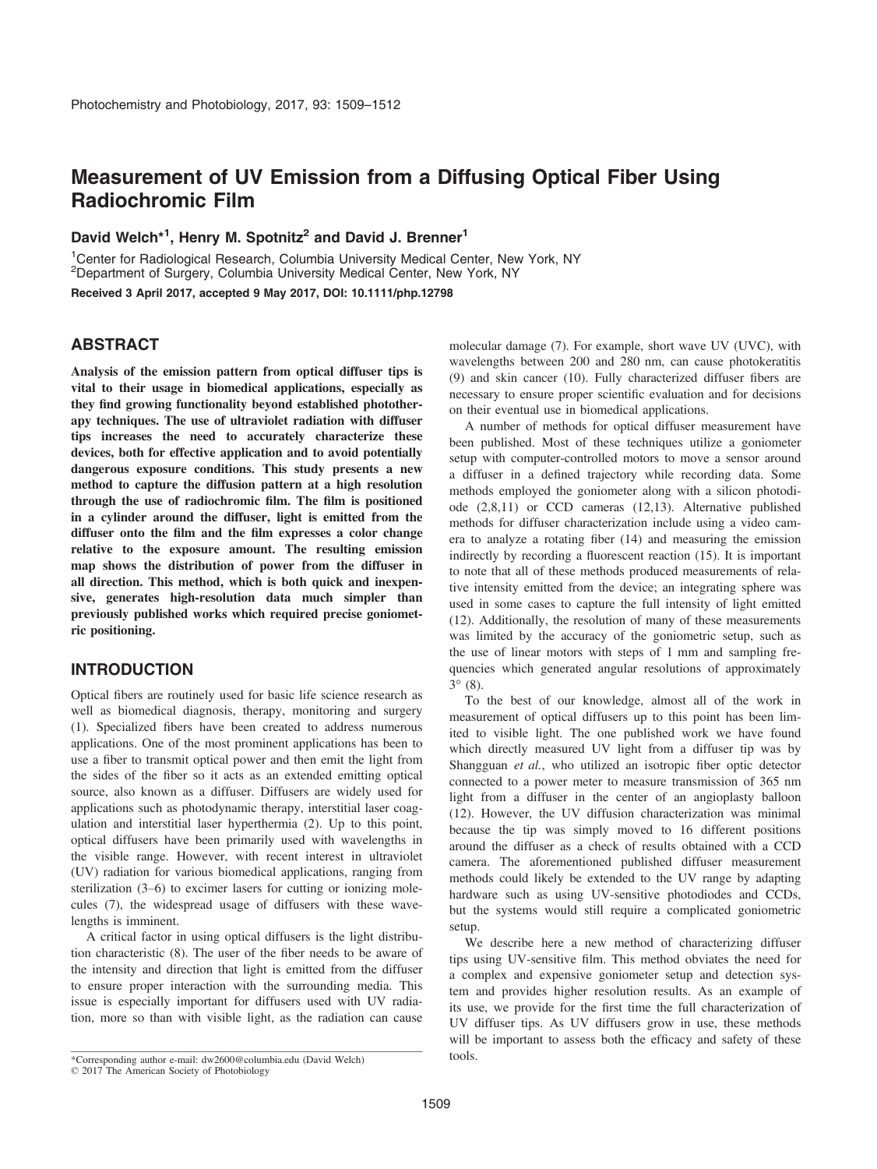# Measurement of UV Emission from a Diffusing Optical Fiber Using Radiochromic Film

David Welch<sup>\*1</sup>, Henry M. Spotnitz<sup>2</sup> and David J. Brenner<sup>1</sup>

<sup>1</sup>Center for Radiological Research, Columbia University Medical Center, New York, NY <sup>2</sup>Department of Surgery, Columbia University Medical Center, New York, NY Received 3 April 2017, accepted 9 May 2017, DOI: 10.1111/php.12798

#### ABSTRACT

Analysis of the emission pattern from optical diffuser tips is vital to their usage in biomedical applications, especially as they find growing functionality beyond established phototherapy techniques. The use of ultraviolet radiation with diffuser tips increases the need to accurately characterize these devices, both for effective application and to avoid potentially dangerous exposure conditions. This study presents a new method to capture the diffusion pattern at a high resolution through the use of radiochromic film. The film is positioned in a cylinder around the diffuser, light is emitted from the diffuser onto the film and the film expresses a color change relative to the exposure amount. The resulting emission map shows the distribution of power from the diffuser in all direction. This method, which is both quick and inexpensive, generates high-resolution data much simpler than previously published works which required precise goniometric positioning.

#### INTRODUCTION

Optical fibers are routinely used for basic life science research as well as biomedical diagnosis, therapy, monitoring and surgery (1). Specialized fibers have been created to address numerous applications. One of the most prominent applications has been to use a fiber to transmit optical power and then emit the light from the sides of the fiber so it acts as an extended emitting optical source, also known as a diffuser. Diffusers are widely used for applications such as photodynamic therapy, interstitial laser coagulation and interstitial laser hyperthermia (2). Up to this point, optical diffusers have been primarily used with wavelengths in the visible range. However, with recent interest in ultraviolet (UV) radiation for various biomedical applications, ranging from sterilization (3–6) to excimer lasers for cutting or ionizing molecules (7), the widespread usage of diffusers with these wavelengths is imminent.

A critical factor in using optical diffusers is the light distribution characteristic (8). The user of the fiber needs to be aware of the intensity and direction that light is emitted from the diffuser to ensure proper interaction with the surrounding media. This issue is especially important for diffusers used with UV radiation, more so than with visible light, as the radiation can cause molecular damage (7). For example, short wave UV (UVC), with wavelengths between 200 and 280 nm, can cause photokeratitis (9) and skin cancer (10). Fully characterized diffuser fibers are necessary to ensure proper scientific evaluation and for decisions on their eventual use in biomedical applications.

A number of methods for optical diffuser measurement have been published. Most of these techniques utilize a goniometer setup with computer-controlled motors to move a sensor around a diffuser in a defined trajectory while recording data. Some methods employed the goniometer along with a silicon photodiode (2,8,11) or CCD cameras (12,13). Alternative published methods for diffuser characterization include using a video camera to analyze a rotating fiber (14) and measuring the emission indirectly by recording a fluorescent reaction (15). It is important to note that all of these methods produced measurements of relative intensity emitted from the device; an integrating sphere was used in some cases to capture the full intensity of light emitted (12). Additionally, the resolution of many of these measurements was limited by the accuracy of the goniometric setup, such as the use of linear motors with steps of 1 mm and sampling frequencies which generated angular resolutions of approximately  $3^{\circ}$  (8).

To the best of our knowledge, almost all of the work in measurement of optical diffusers up to this point has been limited to visible light. The one published work we have found which directly measured UV light from a diffuser tip was by Shangguan et al., who utilized an isotropic fiber optic detector connected to a power meter to measure transmission of 365 nm light from a diffuser in the center of an angioplasty balloon (12). However, the UV diffusion characterization was minimal because the tip was simply moved to 16 different positions around the diffuser as a check of results obtained with a CCD camera. The aforementioned published diffuser measurement methods could likely be extended to the UV range by adapting hardware such as using UV-sensitive photodiodes and CCDs, but the systems would still require a complicated goniometric setup.

We describe here a new method of characterizing diffuser tips using UV-sensitive film. This method obviates the need for a complex and expensive goniometer setup and detection system and provides higher resolution results. As an example of its use, we provide for the first time the full characterization of UV diffuser tips. As UV diffusers grow in use, these methods will be important to assess both the efficacy and safety of these

<sup>\*</sup>Corresponding author e-mail: dw2600@columbia.edu (David Welch) tools.

<sup>©</sup> 2017 The American Society of Photobiology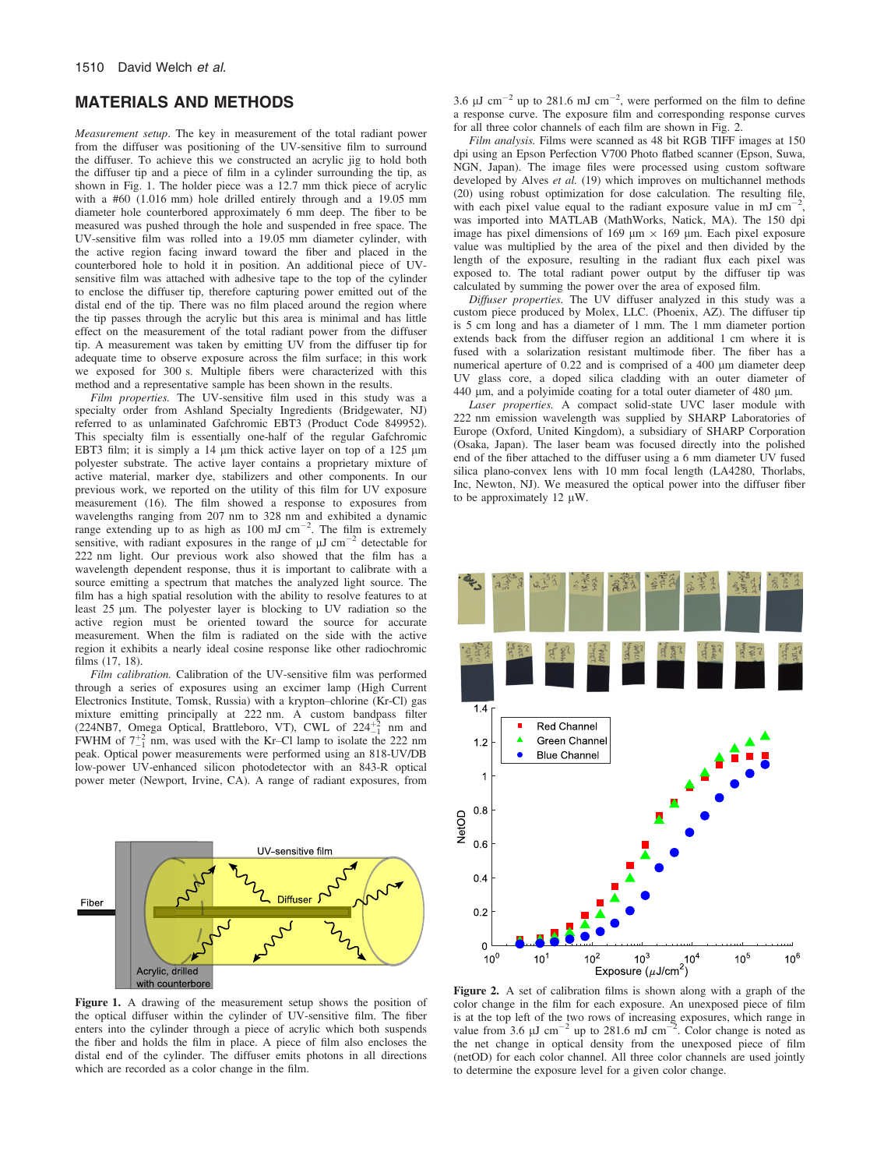#### MATERIALS AND METHODS

Measurement setup. The key in measurement of the total radiant power from the diffuser was positioning of the UV-sensitive film to surround the diffuser. To achieve this we constructed an acrylic jig to hold both the diffuser tip and a piece of film in a cylinder surrounding the tip, as shown in Fig. 1. The holder piece was a 12.7 mm thick piece of acrylic with a #60 (1.016 mm) hole drilled entirely through and a 19.05 mm diameter hole counterbored approximately 6 mm deep. The fiber to be measured was pushed through the hole and suspended in free space. The UV-sensitive film was rolled into a 19.05 mm diameter cylinder, with the active region facing inward toward the fiber and placed in the counterbored hole to hold it in position. An additional piece of UVsensitive film was attached with adhesive tape to the top of the cylinder to enclose the diffuser tip, therefore capturing power emitted out of the distal end of the tip. There was no film placed around the region where the tip passes through the acrylic but this area is minimal and has little effect on the measurement of the total radiant power from the diffuser tip. A measurement was taken by emitting UV from the diffuser tip for adequate time to observe exposure across the film surface; in this work we exposed for 300 s. Multiple fibers were characterized with this method and a representative sample has been shown in the results.

Film properties. The UV-sensitive film used in this study was a specialty order from Ashland Specialty Ingredients (Bridgewater, NJ) referred to as unlaminated Gafchromic EBT3 (Product Code 849952). This specialty film is essentially one-half of the regular Gafchromic EBT3 film; it is simply a  $14 \mu m$  thick active layer on top of a  $125 \mu m$ polyester substrate. The active layer contains a proprietary mixture of active material, marker dye, stabilizers and other components. In our previous work, we reported on the utility of this film for UV exposure measurement (16). The film showed a response to exposures from wavelengths ranging from 207 nm to 328 nm and exhibited a dynamic range extending up to as high as 100 mJ cm<sup>-2</sup>. The film is extremely sensitive, with radiant exposures in the range of  $\mu$ J cm<sup>-2</sup> detectable for 222 nm light. Our previous work also showed that the film has a wavelength dependent response, thus it is important to calibrate with a source emitting a spectrum that matches the analyzed light source. The film has a high spatial resolution with the ability to resolve features to at least 25 µm. The polyester layer is blocking to UV radiation so the active region must be oriented toward the source for accurate measurement. When the film is radiated on the side with the active region it exhibits a nearly ideal cosine response like other radiochromic films (17, 18).

Film calibration. Calibration of the UV-sensitive film was performed through a series of exposures using an excimer lamp (High Current Electronics Institute, Tomsk, Russia) with a krypton–chlorine (Kr-Cl) gas mixture emitting principally at 222 nm. A custom bandpass filter (224NB7, Omega Optical, Brattleboro, VT), CWL of  $224^{+2}_{-1}$  nm and FWHM of  $7^{+2}_{-1}$  nm, was used with the Kr–Cl lamp to isolate the 222 nm peak. Optical power measurements were performed using an 818-UV/DB low-power UV-enhanced silicon photodetector with an 843-R optical power meter (Newport, Irvine, CA). A range of radiant exposures, from



Figure 1. A drawing of the measurement setup shows the position of the optical diffuser within the cylinder of UV-sensitive film. The fiber enters into the cylinder through a piece of acrylic which both suspends the fiber and holds the film in place. A piece of film also encloses the distal end of the cylinder. The diffuser emits photons in all directions which are recorded as a color change in the film.

3.6  $\mu$ J cm<sup>-2</sup> up to 281.6 mJ cm<sup>-2</sup>, were performed on the film to define a response curve. The exposure film and corresponding response curves for all three color channels of each film are shown in Fig. 2.

Film analysis. Films were scanned as 48 bit RGB TIFF images at 150 dpi using an Epson Perfection V700 Photo flatbed scanner (Epson, Suwa, NGN, Japan). The image files were processed using custom software developed by Alves et al. (19) which improves on multichannel methods (20) using robust optimization for dose calculation. The resulting file, with each pixel value equal to the radiant exposure value in  $mJ$  cm<sup>-2</sup>, was imported into MATLAB (MathWorks, Natick, MA). The 150 dpi image has pixel dimensions of 169  $\mu$ m  $\times$  169  $\mu$ m. Each pixel exposure value was multiplied by the area of the pixel and then divided by the length of the exposure, resulting in the radiant flux each pixel was exposed to. The total radiant power output by the diffuser tip was calculated by summing the power over the area of exposed film.

Diffuser properties. The UV diffuser analyzed in this study was a custom piece produced by Molex, LLC. (Phoenix, AZ). The diffuser tip is 5 cm long and has a diameter of 1 mm. The 1 mm diameter portion extends back from the diffuser region an additional 1 cm where it is fused with a solarization resistant multimode fiber. The fiber has a numerical aperture of 0.22 and is comprised of a 400 µm diameter deep UV glass core, a doped silica cladding with an outer diameter of 440 um, and a polyimide coating for a total outer diameter of 480 um.

Laser properties. A compact solid-state UVC laser module with 222 nm emission wavelength was supplied by SHARP Laboratories of Europe (Oxford, United Kingdom), a subsidiary of SHARP Corporation (Osaka, Japan). The laser beam was focused directly into the polished end of the fiber attached to the diffuser using a 6 mm diameter UV fused silica plano-convex lens with 10 mm focal length (LA4280, Thorlabs, Inc, Newton, NJ). We measured the optical power into the diffuser fiber to be approximately 12  $\mu$ W.



color change in the film for each exposure. An unexposed piece of film is at the top left of the two rows of increasing exposures, which range in value from 3.6  $\mu$ J cm<sup>-2</sup> up to 281.6 mJ cm<sup>-2</sup>. Color change is noted as the net change in optical density from the unexposed piece of film (netOD) for each color channel. All three color channels are used jointly to determine the exposure level for a given color change.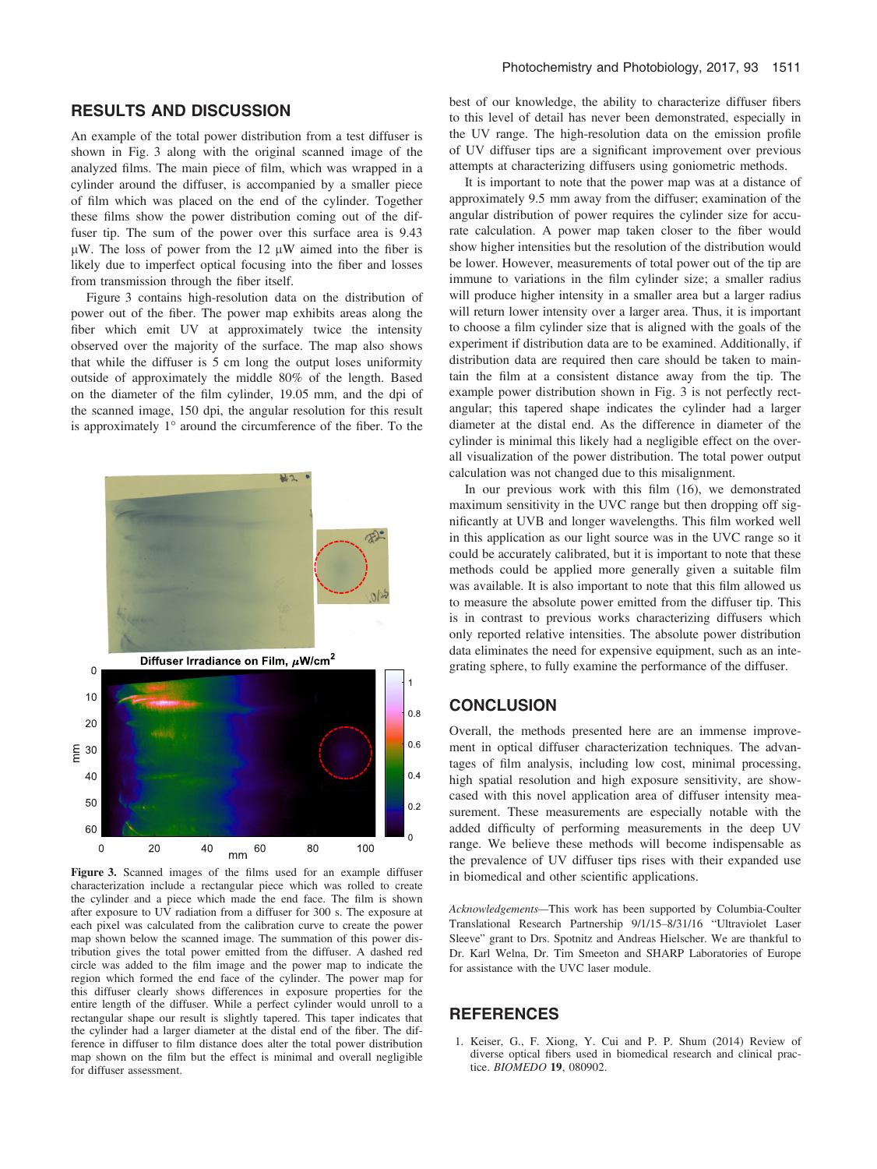### RESULTS AND DISCUSSION

An example of the total power distribution from a test diffuser is shown in Fig. 3 along with the original scanned image of the analyzed films. The main piece of film, which was wrapped in a cylinder around the diffuser, is accompanied by a smaller piece of film which was placed on the end of the cylinder. Together these films show the power distribution coming out of the diffuser tip. The sum of the power over this surface area is 9.43  $\mu$ W. The loss of power from the 12  $\mu$ W aimed into the fiber is likely due to imperfect optical focusing into the fiber and losses from transmission through the fiber itself.

Figure 3 contains high-resolution data on the distribution of power out of the fiber. The power map exhibits areas along the fiber which emit UV at approximately twice the intensity observed over the majority of the surface. The map also shows that while the diffuser is 5 cm long the output loses uniformity outside of approximately the middle 80% of the length. Based on the diameter of the film cylinder, 19.05 mm, and the dpi of the scanned image, 150 dpi, the angular resolution for this result is approximately  $1^\circ$  around the circumference of the fiber. To the



Figure 3. Scanned images of the films used for an example diffuser characterization include a rectangular piece which was rolled to create the cylinder and a piece which made the end face. The film is shown after exposure to UV radiation from a diffuser for 300 s. The exposure at each pixel was calculated from the calibration curve to create the power map shown below the scanned image. The summation of this power distribution gives the total power emitted from the diffuser. A dashed red circle was added to the film image and the power map to indicate the region which formed the end face of the cylinder. The power map for this diffuser clearly shows differences in exposure properties for the entire length of the diffuser. While a perfect cylinder would unroll to a rectangular shape our result is slightly tapered. This taper indicates that the cylinder had a larger diameter at the distal end of the fiber. The difference in diffuser to film distance does alter the total power distribution map shown on the film but the effect is minimal and overall negligible for diffuser assessment.

best of our knowledge, the ability to characterize diffuser fibers to this level of detail has never been demonstrated, especially in the UV range. The high-resolution data on the emission profile of UV diffuser tips are a significant improvement over previous attempts at characterizing diffusers using goniometric methods.

It is important to note that the power map was at a distance of approximately 9.5 mm away from the diffuser; examination of the angular distribution of power requires the cylinder size for accurate calculation. A power map taken closer to the fiber would show higher intensities but the resolution of the distribution would be lower. However, measurements of total power out of the tip are immune to variations in the film cylinder size; a smaller radius will produce higher intensity in a smaller area but a larger radius will return lower intensity over a larger area. Thus, it is important to choose a film cylinder size that is aligned with the goals of the experiment if distribution data are to be examined. Additionally, if distribution data are required then care should be taken to maintain the film at a consistent distance away from the tip. The example power distribution shown in Fig. 3 is not perfectly rectangular; this tapered shape indicates the cylinder had a larger diameter at the distal end. As the difference in diameter of the cylinder is minimal this likely had a negligible effect on the overall visualization of the power distribution. The total power output calculation was not changed due to this misalignment.

In our previous work with this film (16), we demonstrated maximum sensitivity in the UVC range but then dropping off significantly at UVB and longer wavelengths. This film worked well in this application as our light source was in the UVC range so it could be accurately calibrated, but it is important to note that these methods could be applied more generally given a suitable film was available. It is also important to note that this film allowed us to measure the absolute power emitted from the diffuser tip. This is in contrast to previous works characterizing diffusers which only reported relative intensities. The absolute power distribution data eliminates the need for expensive equipment, such as an integrating sphere, to fully examine the performance of the diffuser.

## **CONCLUSION**

Overall, the methods presented here are an immense improvement in optical diffuser characterization techniques. The advantages of film analysis, including low cost, minimal processing, high spatial resolution and high exposure sensitivity, are showcased with this novel application area of diffuser intensity measurement. These measurements are especially notable with the added difficulty of performing measurements in the deep UV range. We believe these methods will become indispensable as the prevalence of UV diffuser tips rises with their expanded use in biomedical and other scientific applications.

Acknowledgements—This work has been supported by Columbia-Coulter Translational Research Partnership 9/1/15–8/31/16 "Ultraviolet Laser Sleeve" grant to Drs. Spotnitz and Andreas Hielscher. We are thankful to Dr. Karl Welna, Dr. Tim Smeeton and SHARP Laboratories of Europe for assistance with the UVC laser module.

#### **REFERENCES**

1. Keiser, G., F. Xiong, Y. Cui and P. P. Shum (2014) Review of diverse optical fibers used in biomedical research and clinical practice. BIOMEDO 19, 080902.